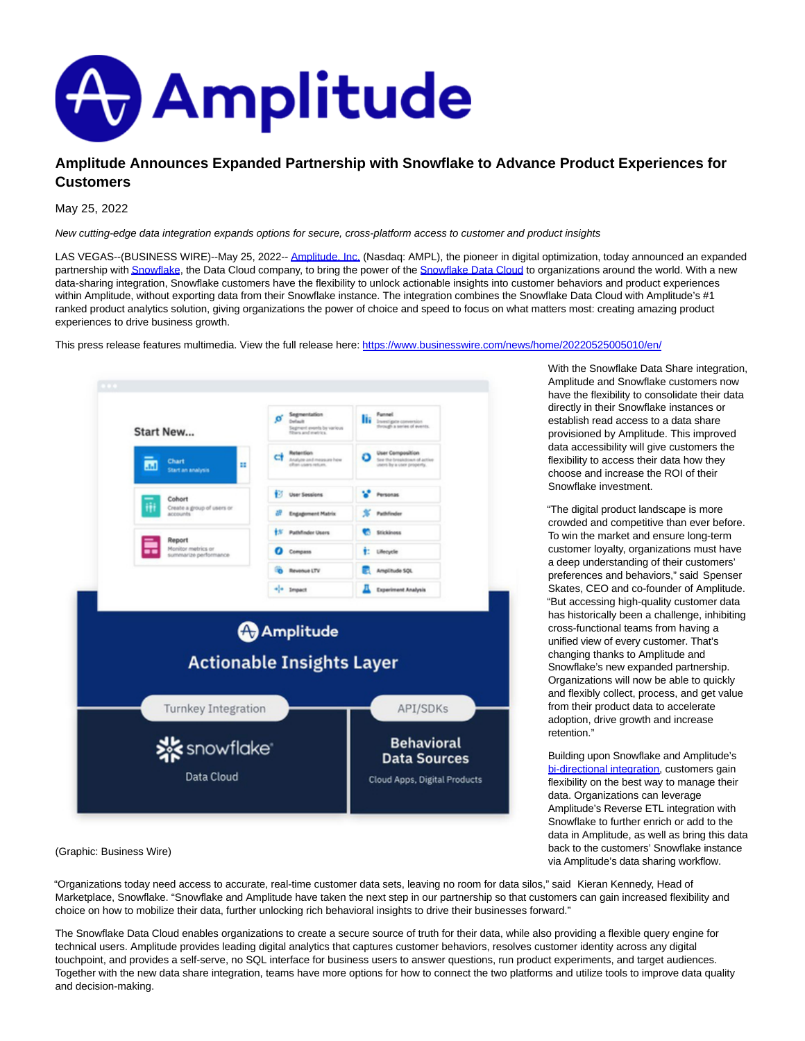

## **Amplitude Announces Expanded Partnership with Snowflake to Advance Product Experiences for Customers**

May 25, 2022

New cutting-edge data integration expands options for secure, cross-platform access to customer and product insights

LAS VEGAS--(BUSINESS WIRE)--May 25, 2022-[- Amplitude, Inc. \(](https://cts.businesswire.com/ct/CT?id=smartlink&url=https%3A%2F%2Famplitude.com&esheet=52724771&newsitemid=20220525005010&lan=en-US&anchor=Amplitude%2C+Inc.&index=1&md5=13489c320ea5cf3a9a208131d9e7385d)Nasdaq: AMPL), the pioneer in digital optimization, today announced an expanded partnership wit[h Snowflake,](https://cts.businesswire.com/ct/CT?id=smartlink&url=https%3A%2F%2Fwww.snowflake.com%2F&esheet=52724771&newsitemid=20220525005010&lan=en-US&anchor=Snowflake&index=2&md5=5f92d3b5b2236c768e15602a248b90fb) the Data Cloud company, to bring the power of the [Snowflake Data Cloud t](https://cts.businesswire.com/ct/CT?id=smartlink&url=https%3A%2F%2Fwww.snowflake.com%2Ftrending%2Fdata-cloud-storage&esheet=52724771&newsitemid=20220525005010&lan=en-US&anchor=Snowflake+Data+Cloud&index=3&md5=bc600a1d726745f8f471e32a1aded1fc)o organizations around the world. With a new data-sharing integration, Snowflake customers have the flexibility to unlock actionable insights into customer behaviors and product experiences within Amplitude, without exporting data from their Snowflake instance. The integration combines the Snowflake Data Cloud with Amplitude's #1 ranked product analytics solution, giving organizations the power of choice and speed to focus on what matters most: creating amazing product experiences to drive business growth.

This press release features multimedia. View the full release here:<https://www.businesswire.com/news/home/20220525005010/en/>



(Graphic: Business Wire)

With the Snowflake Data Share integration, Amplitude and Snowflake customers now have the flexibility to consolidate their data directly in their Snowflake instances or establish read access to a data share provisioned by Amplitude. This improved data accessibility will give customers the flexibility to access their data how they choose and increase the ROI of their Snowflake investment.

"The digital product landscape is more crowded and competitive than ever before. To win the market and ensure long-term customer loyalty, organizations must have a deep understanding of their customers' preferences and behaviors," said Spenser Skates, CEO and co-founder of Amplitude. "But accessing high-quality customer data has historically been a challenge, inhibiting cross-functional teams from having a unified view of every customer. That's changing thanks to Amplitude and Snowflake's new expanded partnership. Organizations will now be able to quickly and flexibly collect, process, and get value from their product data to accelerate adoption, drive growth and increase retention."

Building upon Snowflake and Amplitude's [bi-directional integration,](https://cts.businesswire.com/ct/CT?id=smartlink&url=https%3A%2F%2Famplitude.com%2Fpress%2Famplitude-announces-partnership-with-snowflake-to-combine-the-data-cloud-and-digital-optimization-delivering-real-time-unified-and-enriched-customer-insights&esheet=52724771&newsitemid=20220525005010&lan=en-US&anchor=bi-directional+integration&index=4&md5=7f0bbdd3edee179fb3fc899b7208c1a6) customers gain flexibility on the best way to manage their data. Organizations can leverage Amplitude's Reverse ETL integration with Snowflake to further enrich or add to the data in Amplitude, as well as bring this data back to the customers' Snowflake instance via Amplitude's data sharing workflow.

"Organizations today need access to accurate, real-time customer data sets, leaving no room for data silos," said Kieran Kennedy, Head of Marketplace, Snowflake. "Snowflake and Amplitude have taken the next step in our partnership so that customers can gain increased flexibility and choice on how to mobilize their data, further unlocking rich behavioral insights to drive their businesses forward."

The Snowflake Data Cloud enables organizations to create a secure source of truth for their data, while also providing a flexible query engine for technical users. Amplitude provides leading digital analytics that captures customer behaviors, resolves customer identity across any digital touchpoint, and provides a self-serve, no SQL interface for business users to answer questions, run product experiments, and target audiences. Together with the new data share integration, teams have more options for how to connect the two platforms and utilize tools to improve data quality and decision-making.